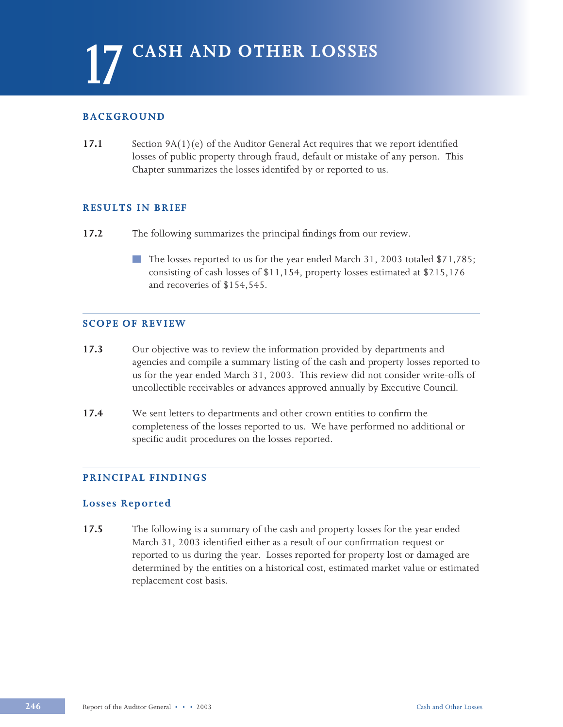## **BACKGROUND**

**17.1** Section 9A(1)(e) of the Auditor General Act requires that we report identified losses of public property through fraud, default or mistake of any person. This Chapter summarizes the losses identifed by or reported to us.

#### **RESULTS IN BRIEF**

- **17.2** The following summarizes the principal findings from our review.
	- The losses reported to us for the year ended March 31, 2003 totaled \$71,785; consisting of cash losses of \$11,154, property losses estimated at \$215,176 and recoveries of \$154,545.

### **SCOPE OF REVIEW**

- **17.3** Our objective was to review the information provided by departments and agencies and compile a summary listing of the cash and property losses reported to us for the year ended March 31, 2003. This review did not consider write-offs of uncollectible receivables or advances approved annually by Executive Council.
- **17.4** We sent letters to departments and other crown entities to confirm the completeness of the losses reported to us. We have performed no additional or specific audit procedures on the losses reported.

### **PRINCIPAL FINDINGS**

### **Losses Reported**

**17.5** The following is a summary of the cash and property losses for the year ended March 31, 2003 identified either as a result of our confirmation request or reported to us during the year. Losses reported for property lost or damaged are determined by the entities on a historical cost, estimated market value or estimated replacement cost basis.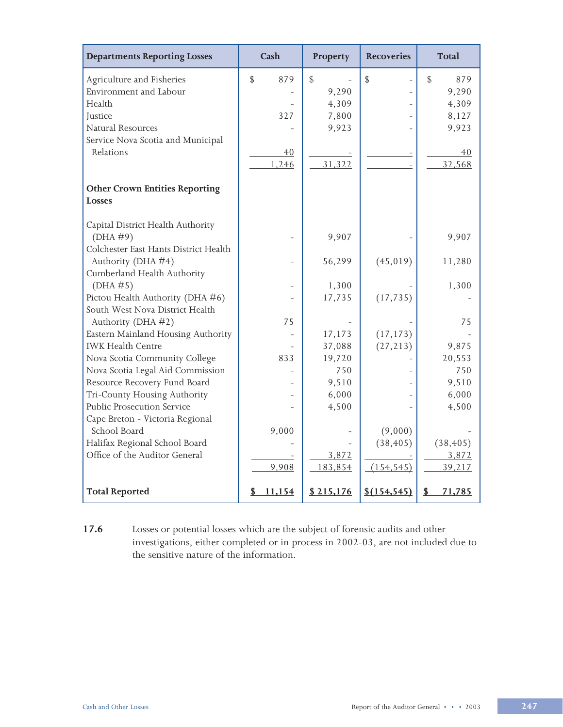| <b>Departments Reporting Losses</b>   | Cash               | Property      | <b>Recoveries</b> | <b>Total</b>       |
|---------------------------------------|--------------------|---------------|-------------------|--------------------|
| Agriculture and Fisheries             | $\mathbb S$<br>879 | $\mathcal{L}$ | $\mathcal{L}$     | $\mathbb S$<br>879 |
| Environment and Labour                |                    | 9,290         |                   | 9,290              |
| Health                                |                    | 4,309         |                   | 4,309              |
| Justice                               | 327                | 7,800         |                   | 8,127              |
| Natural Resources                     |                    | 9,923         |                   | 9,923              |
| Service Nova Scotia and Municipal     |                    |               |                   |                    |
| Relations                             | 40                 |               |                   | 40                 |
|                                       | 1,246              | 31,322        |                   | 32,568             |
|                                       |                    |               |                   |                    |
| <b>Other Crown Entities Reporting</b> |                    |               |                   |                    |
| <b>Losses</b>                         |                    |               |                   |                    |
| Capital District Health Authority     |                    |               |                   |                    |
| (DHA #9)                              |                    | 9,907         |                   | 9,907              |
| Colchester East Hants District Health |                    |               |                   |                    |
| Authority (DHA #4)                    |                    | 56,299        | (45, 019)         | 11,280             |
| Cumberland Health Authority           |                    |               |                   |                    |
| (DHA #5)                              |                    | 1,300         |                   | 1,300              |
| Pictou Health Authority (DHA #6)      |                    | 17,735        | (17, 735)         |                    |
| South West Nova District Health       |                    |               |                   |                    |
| Authority (DHA #2)                    | 75                 |               |                   | 75                 |
| Eastern Mainland Housing Authority    |                    | 17,173        | (17, 173)         |                    |
| <b>IWK Health Centre</b>              |                    | 37,088        | (27, 213)         | 9,875              |
| Nova Scotia Community College         | 833                | 19,720        |                   | 20,553             |
| Nova Scotia Legal Aid Commission      |                    | 750           |                   | 750                |
| Resource Recovery Fund Board          |                    | 9,510         |                   | 9,510              |
| Tri-County Housing Authority          |                    | 6,000         |                   | 6,000              |
| Public Prosecution Service            |                    | 4,500         |                   | 4,500              |
| Cape Breton - Victoria Regional       |                    |               |                   |                    |
| School Board                          | 9,000              |               | (9,000)           |                    |
| Halifax Regional School Board         |                    |               | (38, 405)         | (38, 405)          |
| Office of the Auditor General         |                    | 3,872         |                   | 3,872              |
|                                       | 9,908              | 183,854       | (154, 545)        | 39,217             |
| <b>Total Reported</b>                 | 11,154<br>\$       | \$215,176     | \$(154, 545)      | \$<br>71,785       |

**17.6** Losses or potential losses which are the subject of forensic audits and other investigations, either completed or in process in 2002-03, are not included due to the sensitive nature of the information.